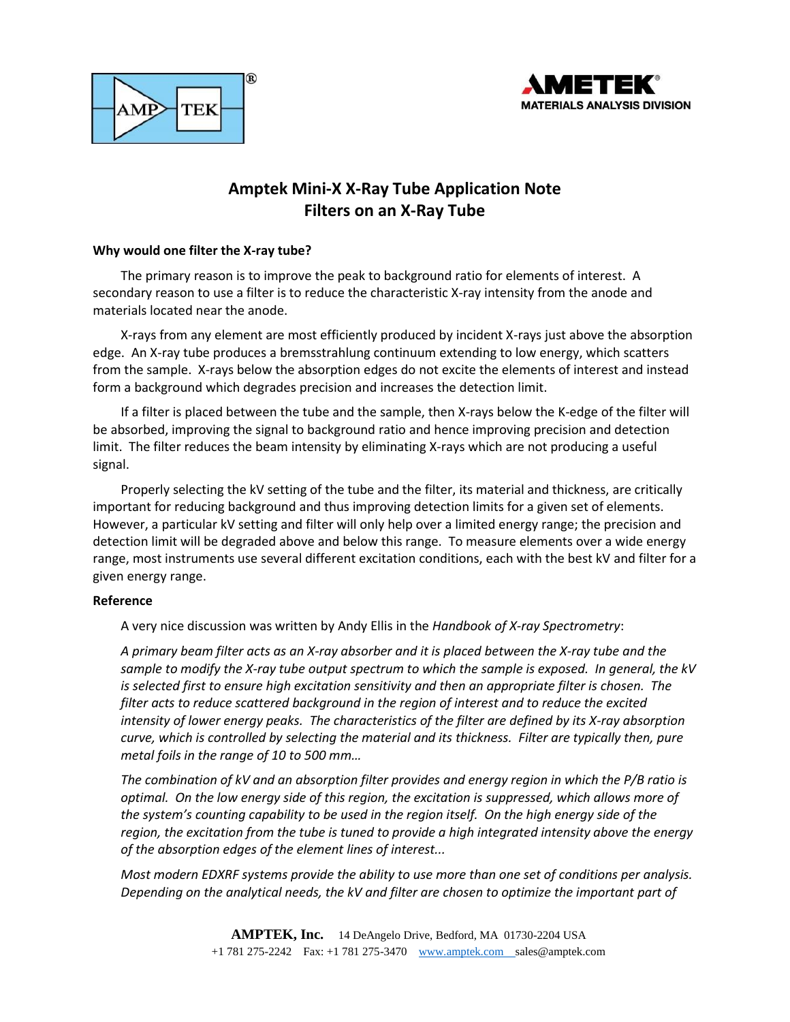



# **Amptek Mini-X X-Ray Tube Application Note Filters on an X-Ray Tube**

## **Why would one filter the X-ray tube?**

The primary reason is to improve the peak to background ratio for elements of interest. A secondary reason to use a filter is to reduce the characteristic X-ray intensity from the anode and materials located near the anode.

X-rays from any element are most efficiently produced by incident X-rays just above the absorption edge. An X-ray tube produces a bremsstrahlung continuum extending to low energy, which scatters from the sample. X-rays below the absorption edges do not excite the elements of interest and instead form a background which degrades precision and increases the detection limit.

If a filter is placed between the tube and the sample, then X-rays below the K-edge of the filter will be absorbed, improving the signal to background ratio and hence improving precision and detection limit. The filter reduces the beam intensity by eliminating X-rays which are not producing a useful signal.

Properly selecting the kV setting of the tube and the filter, its material and thickness, are critically important for reducing background and thus improving detection limits for a given set of elements. However, a particular kV setting and filter will only help over a limited energy range; the precision and detection limit will be degraded above and below this range. To measure elements over a wide energy range, most instruments use several different excitation conditions, each with the best kV and filter for a given energy range.

## **Reference**

A very nice discussion was written by Andy Ellis in the *Handbook of X-ray Spectrometry*:

*A primary beam filter acts as an X-ray absorber and it is placed between the X-ray tube and the sample to modify the X-ray tube output spectrum to which the sample is exposed. In general, the kV is selected first to ensure high excitation sensitivity and then an appropriate filter is chosen. The filter acts to reduce scattered background in the region of interest and to reduce the excited intensity of lower energy peaks. The characteristics of the filter are defined by its X-ray absorption curve, which is controlled by selecting the material and its thickness. Filter are typically then, pure metal foils in the range of 10 to 500 mm…*

*The combination of kV and an absorption filter provides and energy region in which the P/B ratio is optimal. On the low energy side of this region, the excitation is suppressed, which allows more of the system's counting capability to be used in the region itself. On the high energy side of the region, the excitation from the tube is tuned to provide a high integrated intensity above the energy of the absorption edges of the element lines of interest...*

*Most modern EDXRF systems provide the ability to use more than one set of conditions per analysis. Depending on the analytical needs, the kV and filter are chosen to optimize the important part of*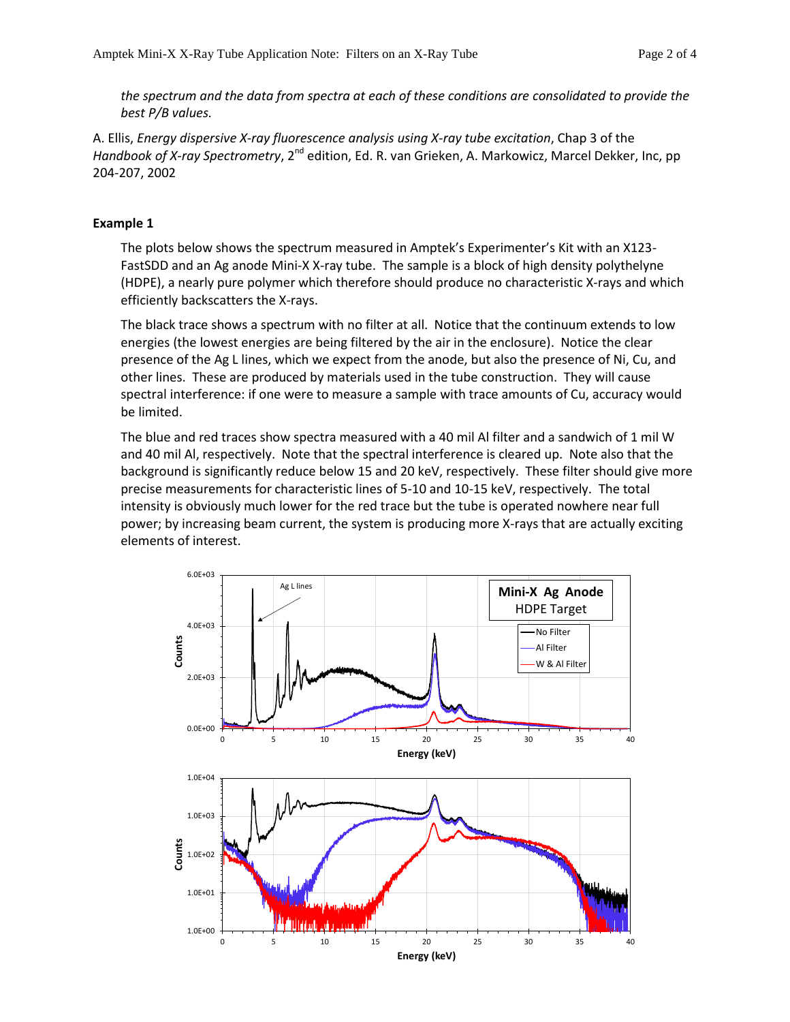*the spectrum and the data from spectra at each of these conditions are consolidated to provide the best P/B values.*

A. Ellis, *Energy dispersive X-ray fluorescence analysis using X-ray tube excitation*, Chap 3 of the *Handbook of X-ray Spectrometry*, 2<sup>nd</sup> edition, Ed. R. van Grieken, A. Markowicz, Marcel Dekker, Inc, pp 204-207, 2002

## **Example 1**

The plots below shows the spectrum measured in Amptek's Experimenter's Kit with an X123- FastSDD and an Ag anode Mini-X X-ray tube. The sample is a block of high density polythelyne (HDPE), a nearly pure polymer which therefore should produce no characteristic X-rays and which efficiently backscatters the X-rays.

The black trace shows a spectrum with no filter at all. Notice that the continuum extends to low energies (the lowest energies are being filtered by the air in the enclosure). Notice the clear presence of the Ag L lines, which we expect from the anode, but also the presence of Ni, Cu, and other lines. These are produced by materials used in the tube construction. They will cause spectral interference: if one were to measure a sample with trace amounts of Cu, accuracy would be limited.

The blue and red traces show spectra measured with a 40 mil Al filter and a sandwich of 1 mil W and 40 mil Al, respectively. Note that the spectral interference is cleared up. Note also that the background is significantly reduce below 15 and 20 keV, respectively. These filter should give more precise measurements for characteristic lines of 5-10 and 10-15 keV, respectively. The total intensity is obviously much lower for the red trace but the tube is operated nowhere near full power; by increasing beam current, the system is producing more X-rays that are actually exciting elements of interest.

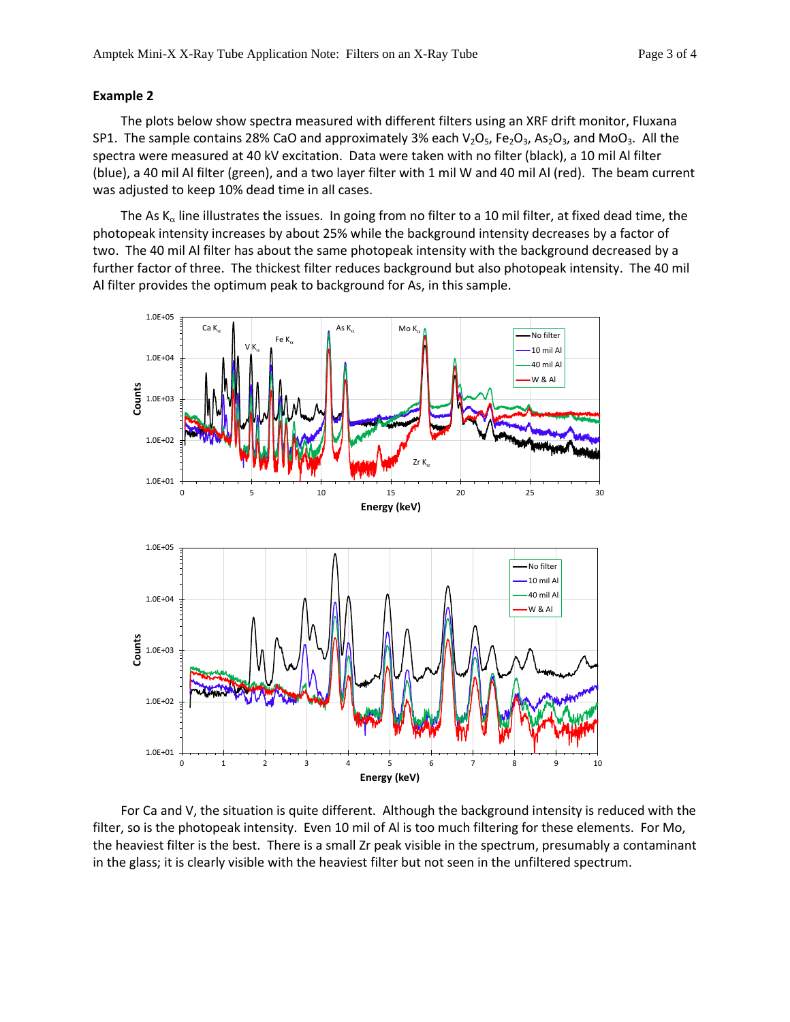### **Example 2**

The plots below show spectra measured with different filters using an XRF drift monitor, Fluxana SP1. The sample contains 28% CaO and approximately 3% each  $V_2O_5$ , Fe<sub>2</sub>O<sub>3</sub>, As<sub>2</sub>O<sub>3</sub>, and MoO<sub>3</sub>. All the spectra were measured at 40 kV excitation. Data were taken with no filter (black), a 10 mil Al filter (blue), a 40 mil Al filter (green), and a two layer filter with 1 mil W and 40 mil Al (red). The beam current was adjusted to keep 10% dead time in all cases.

The As  $K_{\alpha}$  line illustrates the issues. In going from no filter to a 10 mil filter, at fixed dead time, the photopeak intensity increases by about 25% while the background intensity decreases by a factor of two. The 40 mil Al filter has about the same photopeak intensity with the background decreased by a further factor of three. The thickest filter reduces background but also photopeak intensity. The 40 mil Al filter provides the optimum peak to background for As, in this sample.



For Ca and V, the situation is quite different. Although the background intensity is reduced with the filter, so is the photopeak intensity. Even 10 mil of Al is too much filtering for these elements. For Mo, the heaviest filter is the best. There is a small Zr peak visible in the spectrum, presumably a contaminant in the glass; it is clearly visible with the heaviest filter but not seen in the unfiltered spectrum.